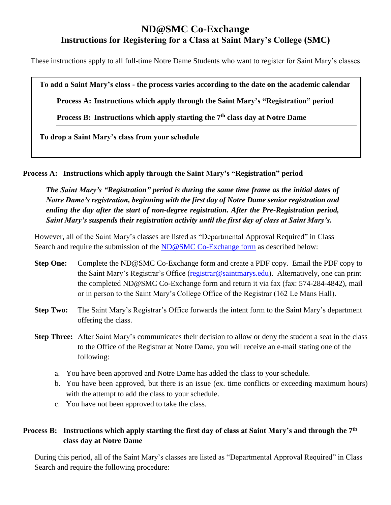## **ND@SMC Co-Exchange Instructions for Registering for a Class at Saint Mary's College (SMC)**

These instructions apply to all full-time Notre Dame Students who want to register for Saint Mary's classes

**To add a Saint Mary's class - the process varies according to the date on the academic calendar**

**Process A: Instructions which apply through the Saint Mary's "Registration" period**

**Process B: Instructions which apply starting the 7th class day at Notre Dame**

**To drop a Saint Mary's class from your schedule**

**Process A: Instructions which apply through the Saint Mary's "Registration" period** 

*The Saint Mary's "Registration" period is during the same time frame as the initial dates of Notre Dame's registration, beginning with the first day of Notre Dame senior registration and ending the day after the start of non-degree registration. After the Pre-Registration period, Saint Mary's suspends their registration activity until the first day of class at Saint Mary's.* 

However, all of the Saint Mary's classes are listed as "Departmental Approval Required" in Class Search and require the submission of the [ND@SMC Co-Exchange form](https://www.saintmarys.edu/files/2018/10/ND%20at%20SMC%20CoExchange-fillin.pdf) as described below:

- **Step One:** Complete the ND@SMC Co-Exchange form and create a PDF copy. Email the PDF copy to the Saint Mary's Registrar's Office [\(registrar@saintmarys.edu\)](mailto:registrar@saintmarys.edu). Alternatively, one can print the completed ND@SMC Co-Exchange form and return it via fax (fax: 574-284-4842), mail or in person to the Saint Mary's College Office of the Registrar (162 Le Mans Hall).
- **Step Two:** The Saint Mary's Registrar's Office forwards the intent form to the Saint Mary's department offering the class.
- **Step Three:** After Saint Mary's communicates their decision to allow or deny the student a seat in the class to the Office of the Registrar at Notre Dame, you will receive an e-mail stating one of the following:
	- a. You have been approved and Notre Dame has added the class to your schedule.
	- b. You have been approved, but there is an issue (ex. time conflicts or exceeding maximum hours) with the attempt to add the class to your schedule.
	- c. You have not been approved to take the class.

## **Process B: Instructions which apply starting the first day of class at Saint Mary's and through the 7th class day at Notre Dame**

During this period, all of the Saint Mary's classes are listed as "Departmental Approval Required" in Class Search and require the following procedure: